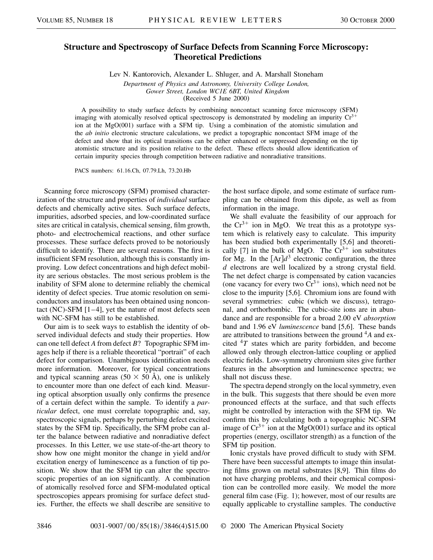## **Structure and Spectroscopy of Surface Defects from Scanning Force Microscopy: Theoretical Predictions**

Lev N. Kantorovich, Alexander L. Shluger, and A. Marshall Stoneham

*Department of Physics and Astronomy, University College London, Gower Street, London WC1E 6BT, United Kingdom*

(Received 5 June 2000)

A possibility to study surface defects by combining noncontact scanning force microscopy (SFM) imaging with atomically resolved optical spectroscopy is demonstrated by modeling an impurity  $Cr^{3+}$ ion at the MgO(001) surface with a SFM tip. Using a combination of the atomistic simulation and the *ab initio* electronic structure calculations, we predict a topographic noncontact SFM image of the defect and show that its optical transitions can be either enhanced or suppressed depending on the tip atomistic structure and its position relative to the defect. These effects should allow identification of certain impurity species through competition between radiative and nonradiative transitions.

PACS numbers: 61.16.Ch, 07.79.Lh, 73.20.Hb

Scanning force microscopy (SFM) promised characterization of the structure and properties of *individual* surface defects and chemically active sites. Such surface defects, impurities, adsorbed species, and low-coordinated surface sites are critical in catalysis, chemical sensing, film growth, photo- and electrochemical reactions, and other surface processes. These surface defects proved to be notoriously difficult to identify. There are several reasons. The first is insufficient SFM resolution, although this is constantly improving. Low defect concentrations and high defect mobility are serious obstacles. The most serious problem is the inability of SFM alone to determine reliably the chemical identity of defect species. True atomic resolution on semiconductors and insulators has been obtained using noncontact (NC)-SFM  $[1-4]$ , yet the nature of most defects seen with NC-SFM has still to be established.

Our aim is to seek ways to establish the identity of observed individual defects and study their properties. How can one tell defect *A* from defect *B*? Topographic SFM images help if there is a reliable theoretical "portrait" of each defect for comparison. Unambiguous identification needs more information. Moreover, for typical concentrations and typical scanning areas  $(50 \times 50 \text{ Å})$ , one is unlikely to encounter more than one defect of each kind. Measuring optical absorption usually only confirms the presence of a certain defect within the sample. To identify a *particular* defect, one must correlate topographic and, say, spectroscopic signals, perhaps by perturbing defect excited states by the SFM tip. Specifically, the SFM probe can alter the balance between radiative and nonradiative defect processes. In this Letter, we use state-of-the-art theory to show how one might monitor the change in yield and/or excitation energy of luminescence as a function of tip position. We show that the SFM tip can alter the spectroscopic properties of an ion significantly. A combination of atomically resolved force and SFM-modulated optical spectroscopies appears promising for surface defect studies. Further, the effects we shall describe are sensitive to the host surface dipole, and some estimate of surface rumpling can be obtained from this dipole, as well as from information in the image.

We shall evaluate the feasibility of our approach for the  $Cr^{3+}$  ion in MgO. We treat this as a prototype system which is relatively easy to calculate. This impurity has been studied both experimentally [5,6] and theoretically [7] in the bulk of MgO. The  $Cr^{3+}$  ion substitutes for Mg. In the  $[Ar]d^3$  electronic configuration, the three *d* electrons are well localized by a strong crystal field. The net defect charge is compensated by cation vacancies (one vacancy for every two  $Cr^{3+}$  ions), which need not be close to the impurity [5,6]. Chromium ions are found with several symmetries: cubic (which we discuss), tetragonal, and orthorhombic. The cubic-site ions are in abundance and are responsible for a broad 2.00 eV *absorption* band and 1.96 eV *luminescence* band [5,6]. These bands are attributed to transitions between the ground <sup>4</sup>*A* and excited  ${}^{4}T$  states which are parity forbidden, and become allowed only through electron-lattice coupling or applied electric fields. Low-symmetry chromium sites give further features in the absorption and luminescence spectra; we shall not discuss these.

The spectra depend strongly on the local symmetry, even in the bulk. This suggests that there should be even more pronounced effects at the surface, and that such effects might be controlled by interaction with the SFM tip. We confirm this by calculating both a topographic NC-SFM image of  $Cr^{3+}$  ion at the MgO(001) surface and its optical properties (energy, oscillator strength) as a function of the SFM tip position.

Ionic crystals have proved difficult to study with SFM. There have been successful attempts to image thin insulating films grown on metal substrates [8,9]. Thin films do not have charging problems, and their chemical composition can be controlled more easily. We model the more general film case (Fig. 1); however, most of our results are equally applicable to crystalline samples. The conductive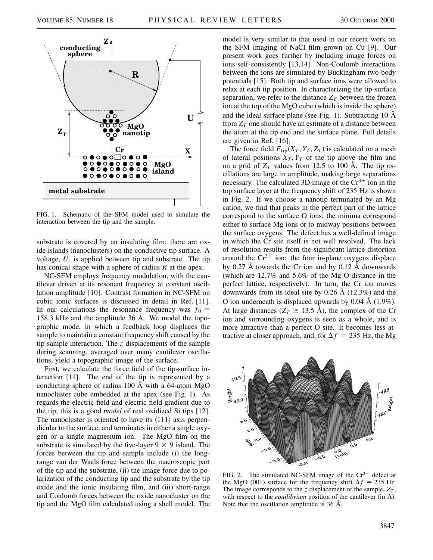

FIG. 1. Schematic of the SFM model used to simulate the interaction between the tip and the sample.

substrate is covered by an insulating film; there are oxide islands (nanoclusters) on the conductive tip surface. A voltage, *U*, is applied between tip and substrate. The tip has conical shape with a sphere of radius *R* at the apex.

NC-SFM employs frequency modulation, with the cantilever driven at its resonant frequency at constant oscillation amplitude [10]. Contrast formation in NC-SFM on cubic ionic surfaces is discussed in detail in Ref. [11]. In our calculations the resonance frequency was  $f_0 =$ 158.3 kHz and the amplitude 36 Å. We model the topographic mode, in which a feedback loop displaces the sample to maintain a constant frequency shift caused by the tip-sample interaction. The *z* displacements of the sample during scanning, averaged over many cantilever oscillations, yield a topographic image of the surface.

First, we calculate the force field of the tip-surface interaction [11]. The end of the tip is represented by a conducting sphere of radius 100 Å with a 64-atom MgO nanocluster cube embedded at the apex (see Fig. 1). As regards the electric field and electric field gradient due to the tip, this is a good *model* of real oxidized Si tips [12]. The nanocluster is oriented to have its  $\langle 111 \rangle$  axis perpendicular to the surface, and terminates in either a single oxygen or a single magnesium ion. The MgO film on the substrate is simulated by the five-layer  $9 \times 9$  island. The forces between the tip and sample include (i) the longrange van der Waals force between the macroscopic part of the tip and the substrate, (ii) the image force due to polarization of the conducting tip and the substrate by the tip oxide and the ionic insulating film, and (iii) short-range and Coulomb forces between the oxide nanocluster on the tip and the MgO film calculated using a shell model. The model is very similar to that used in our recent work on the SFM imaging of NaCl film grown on Cu [9]. Our present work goes further by including image forces on ions self-consistently [13,14]. Non-Coulomb interactions between the ions are simulated by Buckingham two-body potentials [15]. Both tip and surface ions were allowed to relax at each tip position. In characterizing the tip-surface separation, we refer to the distance  $Z_T$  between the frozen ion at the top of the MgO cube (which is inside the sphere) and the ideal surface plane (see Fig. 1). Subtracting 10 Å from  $Z_T$  one should have an estimate of a distance between the atom at the tip end and the surface plane. Full details are given in Ref. [16].

The force field  $F_{\text{tip}}(X_T, Y_T, Z_T)$  is calculated on a mesh of lateral positions  $X_T$ ,  $Y_T$  of the tip above the film and on a grid of  $Z_T$  values from 12.5 to 100 Å. The tip oscillations are large in amplitude, making large separations necessary. The calculated 3D image of the  $Cr^{3+}$  ion in the top surface layer at the frequency shift of 235 Hz is shown in Fig. 2. If we choose a nanotip terminated by an Mg cation, we find that peaks in the perfect part of the lattice correspond to the surface O ions; the minima correspond either to surface Mg ions or to midway positions between the surface oxygens. The defect has a well-defined image in which the Cr site itself is not well resolved. The lack of resolution results from the significant lattice distortion around the  $Cr^{3+}$  ion: the four in-plane oxygens displace by 0.27 Å towards the Cr ion and by 0.12 Å downwards (which are 12.7% and 5.6% of the Mg-O distance in the perfect lattice, respectively). In turn, the Cr ion moves downwards from its ideal site by 0.26 Å (12.3%) and the O ion underneath is displaced upwards by 0.04 Å (1.9%). At large distances ( $Z_T \ge 13.5$  Å), the complex of the Cr ion and surrounding oxygens is seen as a whole, and is more attractive than a perfect O site. It becomes less attractive at closer approach, and, for  $\Delta f = 235$  Hz, the Mg



FIG. 2. The simulated NC-SFM image of the  $Cr<sup>3+</sup>$  defect at the MgO (001) surface for the frequency shift  $\Delta f = 235$  Hz. The image corresponds to the  $z$  displacement of the sample,  $Z_T$ , with respect to the *equilibrium* position of the cantilever (in Å). Note that the oscillation amplitude is 36 Å.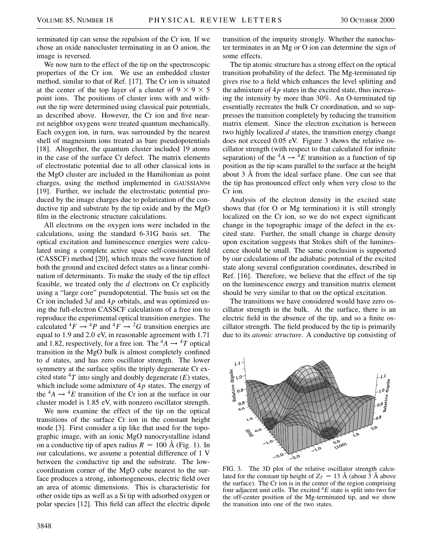terminated tip can sense the repulsion of the Cr ion. If we chose an oxide nanocluster terminating in an O anion, the image is reversed.

We now turn to the effect of the tip on the spectroscopic properties of the Cr ion. We use an embedded cluster method, similar to that of Ref. [17]. The Cr ion is situated at the center of the top layer of a cluster of  $9 \times 9 \times 5$ point ions. The positions of cluster ions with and without the tip were determined using classical pair potentials, as described above. However, the Cr ion and five nearest neighbor oxygens were treated quantum mechanically. Each oxygen ion, in turn, was surrounded by the nearest shell of magnesium ions treated as bare pseudopotentials [18]. Altogether, the quantum cluster included 19 atoms in the case of the surface Cr defect. The matrix elements of electrostatic potential due to all other classical ions in the MgO cluster are included in the Hamiltonian as point charges, using the method implemented in GAUSSIAN94 [19]. Further, we include the electrostatic potential produced by the image charges due to polarization of the conductive tip and substrate by the tip oxide and by the MgO film in the electronic structure calculations.

All electrons on the oxygen ions were included in the calculations, using the standard 6-31G basis set. The optical excitation and luminescence energies were calculated using a complete active space self-consistent field (CASSCF) method [20], which treats the wave function of both the ground and excited defect states as a linear combination of determinants. To make the study of the tip effect feasible, we treated only the *d* electrons on Cr explicitly using a "large core" pseudopotential. The basis set on the Cr ion included 3*d* and 4*p* orbitals, and was optimized using the full-electron CASSCF calculations of a free ion to reproduce the experimental optical transition energies. The calculated  ${}^4F \rightarrow {}^4P$  and  ${}^4F \rightarrow {}^2G$  transition energies are equal to 1.9 and 2.0 eV, in reasonable agreement with 1.71 and 1.82, respectively, for a free ion. The  ${}^4A \rightarrow {}^4T$  optical transition in the MgO bulk is almost completely confined to *d* states, and has zero oscillator strength. The lower symmetry at the surface splits the triply degenerate Cr excited state  ${}^{4}T$  into singly and doubly degenerate (*E*) states, which include some admixture of 4*p* states. The energy of the  ${}^4A \rightarrow {}^4E$  transition of the Cr ion at the surface in our cluster model is 1.85 eV, with nonzero oscillator strength.

We now examine the effect of the tip on the optical transitions of the surface Cr ion in the constant height mode [3]. First consider a tip like that used for the topographic image, with an ionic MgO nanocrystalline island on a conductive tip of apex radius  $R = 100 \text{ Å}$  (Fig. 1). In our calculations, we assume a potential difference of 1 V between the conductive tip and the substrate. The lowcoordination corner of the MgO cube nearest to the surface produces a strong, inhomogeneous, electric field over an area of atomic dimensions. This is characteristic for other oxide tips as well as a Si tip with adsorbed oxygen or polar species [12]. This field can affect the electric dipole transition of the impurity strongly. Whether the nanocluster terminates in an Mg or O ion can determine the sign of some effects.

The tip atomic structure has a strong effect on the optical transition probability of the defect. The Mg-terminated tip gives rise to a field which enhances the level splitting and the admixture of  $4p$  states in the excited state, thus increasing the intensity by more than 30%. An O-terminated tip essentially recreates the bulk Cr coordination, and so suppresses the transition completely by reducing the transition matrix element. Since the electron excitation is between two highly localized *d* states, the transition energy change does not exceed 0.05 eV. Figure 3 shows the relative oscillator strength (with respect to that calculated for infinite separation) of the  ${}^4A \rightarrow {}^4E$  transition as a function of tip position as the tip scans parallel to the surface at the height about 3 Å from the ideal surface plane. One can see that the tip has pronounced effect only when very close to the Cr ion.

Analysis of the electron density in the excited state shows that (for O or Mg termination) it is still strongly localized on the Cr ion, so we do not expect significant change in the topographic image of the defect in the excited state. Further, the small change in charge density upon excitation suggests that Stokes shift of the luminescence should be small. The same conclusion is supported by our calculations of the adiabatic potential of the excited state along several configuration coordinates, described in Ref. [16]. Therefore, we believe that the effect of the tip on the luminescence energy and transition matrix element should be very similar to that on the optical excitation.

The transitions we have considered would have zero oscillator strength in the bulk. At the surface, there is an electric field in the absence of the tip, and so a finite oscillator strength. The field produced by the tip is primarily due to its *atomic structure*. A conductive tip consisting of



FIG. 3. The 3D plot of the relative oscillator strength calculated for the constant tip height of  $Z_T = 13 \text{ Å}$  (about 3 Å above the surface). The Cr ion is in the center of the region comprising four adjacent unit cells. The excited  ${}^4E$  state is split into two for the off-center position of the Mg-terminated tip, and we show the transition into one of the two states.